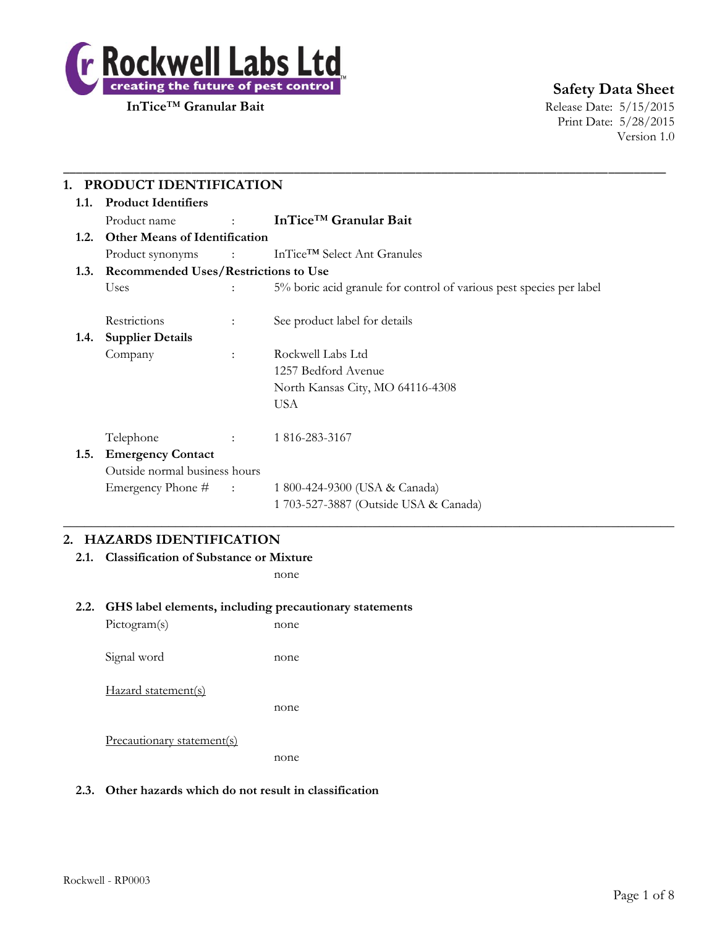

# **Safety Data Sheet**

Print Date: 5/28/2015 Version 1.0

| 1.1.                                      | <b>Product Identifiers</b>           |                            |                                                                     |
|-------------------------------------------|--------------------------------------|----------------------------|---------------------------------------------------------------------|
|                                           | Product name                         | <b>Service State State</b> | InTice™ Granular Bait                                               |
| 1.2.                                      | <b>Other Means of Identification</b> |                            |                                                                     |
|                                           | Product synonyms                     |                            | $\ln \text{Tice}^{\text{TM}}$ Select Ant Granules                   |
| 1.3. Recommended Uses/Restrictions to Use |                                      |                            |                                                                     |
|                                           | Uses                                 |                            | 5% boric acid granule for control of various pest species per label |
|                                           | Restrictions                         | $\ddot{\phantom{a}}$       | See product label for details                                       |
| 1.4.                                      | <b>Supplier Details</b>              |                            |                                                                     |
|                                           | Company                              | $\mathbf{r}$               | Rockwell Labs Ltd                                                   |
|                                           |                                      |                            | 1257 Bedford Avenue                                                 |
|                                           |                                      |                            | North Kansas City, MO 64116-4308                                    |
|                                           |                                      |                            | <b>USA</b>                                                          |
|                                           | Telephone                            | $\Delta \sim 100$          | 1 816-283-3167                                                      |
| 1.5.                                      | <b>Emergency Contact</b>             |                            |                                                                     |
|                                           | Outside normal business hours        |                            |                                                                     |
|                                           | Emergency Phone $#$ :                |                            | 1 800-424-9300 (USA & Canada)                                       |
|                                           |                                      |                            | 1 703-527-3887 (Outside USA & Canada)                               |

# **2. HAZARDS IDENTIFICATION**

**2.1. Classification of Substance or Mixture**

none

#### **2.2. GHS label elements, including precautionary statements**

Pictogram(s) none Signal word none Hazard statement(s) none Precautionary statement(s) none

#### **2.3. Other hazards which do not result in classification**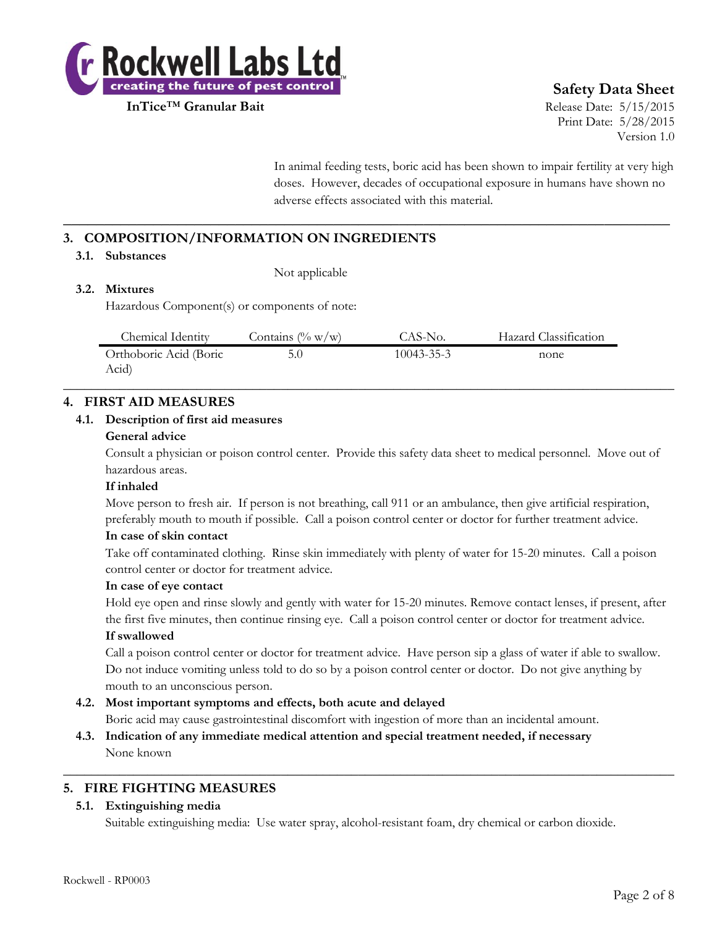

# **Safety Data Sheet**

Print Date: 5/28/2015 Version 1.0

In animal feeding tests, boric acid has been shown to impair fertility at very high doses. However, decades of occupational exposure in humans have shown no adverse effects associated with this material.

# **3. COMPOSITION/INFORMATION ON INGREDIENTS**

#### **3.1. Substances**

Not applicable

# **3.2. Mixtures**

Hazardous Component(s) or components of note:

| Chemical Identity      | Contains $(\% w/w)$ | CAS-No.          | Hazard Classification |
|------------------------|---------------------|------------------|-----------------------|
| Orthoboric Acid (Boric |                     | $10043 - 35 - 3$ | none                  |
| Acid)                  |                     |                  |                       |

 $\_$  , and the set of the set of the set of the set of the set of the set of the set of the set of the set of the set of the set of the set of the set of the set of the set of the set of the set of the set of the set of th

**\_\_\_\_\_\_\_\_\_\_\_\_\_\_\_\_\_\_\_\_\_\_\_\_\_\_\_\_\_\_\_\_\_\_\_\_\_\_\_\_\_\_\_\_\_\_\_\_\_\_\_\_\_\_\_\_\_\_\_\_\_\_\_\_\_\_\_\_\_\_\_\_\_\_**

# **4. FIRST AID MEASURES**

#### **4.1. Description of first aid measures**

#### **General advice**

Consult a physician or poison control center. Provide this safety data sheet to medical personnel. Move out of hazardous areas.

#### **If inhaled**

Move person to fresh air. If person is not breathing, call 911 or an ambulance, then give artificial respiration, preferably mouth to mouth if possible. Call a poison control center or doctor for further treatment advice.

# **In case of skin contact**

Take off contaminated clothing. Rinse skin immediately with plenty of water for 15-20 minutes. Call a poison control center or doctor for treatment advice.

#### **In case of eye contact**

Hold eye open and rinse slowly and gently with water for 15-20 minutes. Remove contact lenses, if present, after the first five minutes, then continue rinsing eye. Call a poison control center or doctor for treatment advice.

# **If swallowed**

Call a poison control center or doctor for treatment advice. Have person sip a glass of water if able to swallow. Do not induce vomiting unless told to do so by a poison control center or doctor. Do not give anything by mouth to an unconscious person.

# **4.2. Most important symptoms and effects, both acute and delayed**

Boric acid may cause gastrointestinal discomfort with ingestion of more than an incidental amount.

 $\_$  , and the set of the set of the set of the set of the set of the set of the set of the set of the set of the set of the set of the set of the set of the set of the set of the set of the set of the set of the set of th

**4.3. Indication of any immediate medical attention and special treatment needed, if necessary** None known

# **5. FIRE FIGHTING MEASURES**

# **5.1. Extinguishing media**

Suitable extinguishing media: Use water spray, alcohol-resistant foam, dry chemical or carbon dioxide.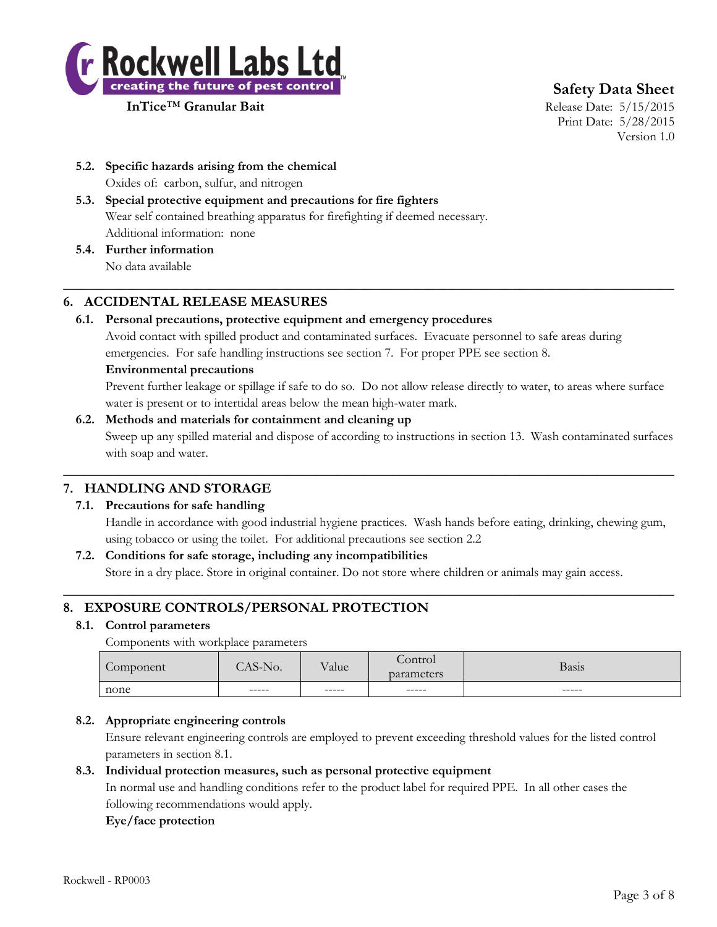

**Safety Data Sheet**

Print Date: 5/28/2015 Version 1.0

- **5.2. Specific hazards arising from the chemical** Oxides of: carbon, sulfur, and nitrogen
- **5.3. Special protective equipment and precautions for fire fighters** Wear self contained breathing apparatus for firefighting if deemed necessary. Additional information: none
- **5.4. Further information** No data available

# **6. ACCIDENTAL RELEASE MEASURES**

# **6.1. Personal precautions, protective equipment and emergency procedures**

Avoid contact with spilled product and contaminated surfaces. Evacuate personnel to safe areas during emergencies. For safe handling instructions see section 7. For proper PPE see section 8.

 $\_$  , and the set of the set of the set of the set of the set of the set of the set of the set of the set of the set of the set of the set of the set of the set of the set of the set of the set of the set of the set of th

#### **Environmental precautions**

Prevent further leakage or spillage if safe to do so. Do not allow release directly to water, to areas where surface water is present or to intertidal areas below the mean high-water mark.

# **6.2. Methods and materials for containment and cleaning up**

Sweep up any spilled material and dispose of according to instructions in section 13. Wash contaminated surfaces with soap and water.

 $\_$  , and the set of the set of the set of the set of the set of the set of the set of the set of the set of the set of the set of the set of the set of the set of the set of the set of the set of the set of the set of th

# **7. HANDLING AND STORAGE**

# **7.1. Precautions for safe handling**

Handle in accordance with good industrial hygiene practices. Wash hands before eating, drinking, chewing gum, using tobacco or using the toilet. For additional precautions see section 2.2

# **7.2. Conditions for safe storage, including any incompatibilities**

Store in a dry place. Store in original container. Do not store where children or animals may gain access.  $\_$  , and the set of the set of the set of the set of the set of the set of the set of the set of the set of the set of the set of the set of the set of the set of the set of the set of the set of the set of the set of th

# **8. EXPOSURE CONTROLS/PERSONAL PROTECTION**

# **8.1. Control parameters**

Components with workplace parameters

| $\sqrt{2}$<br>Component | $Q$ $\rightarrow$ T<br>NO.<br>. . | $\mathbf{r}$<br>Value | ontrol<br>parameters | Basis  |
|-------------------------|-----------------------------------|-----------------------|----------------------|--------|
| none                    | $-----$                           | ------                | ------               | ------ |
|                         |                                   |                       |                      |        |

# **8.2. Appropriate engineering controls**

Ensure relevant engineering controls are employed to prevent exceeding threshold values for the listed control parameters in section 8.1.

# **8.3. Individual protection measures, such as personal protective equipment**

In normal use and handling conditions refer to the product label for required PPE. In all other cases the following recommendations would apply.

# **Eye/face protection**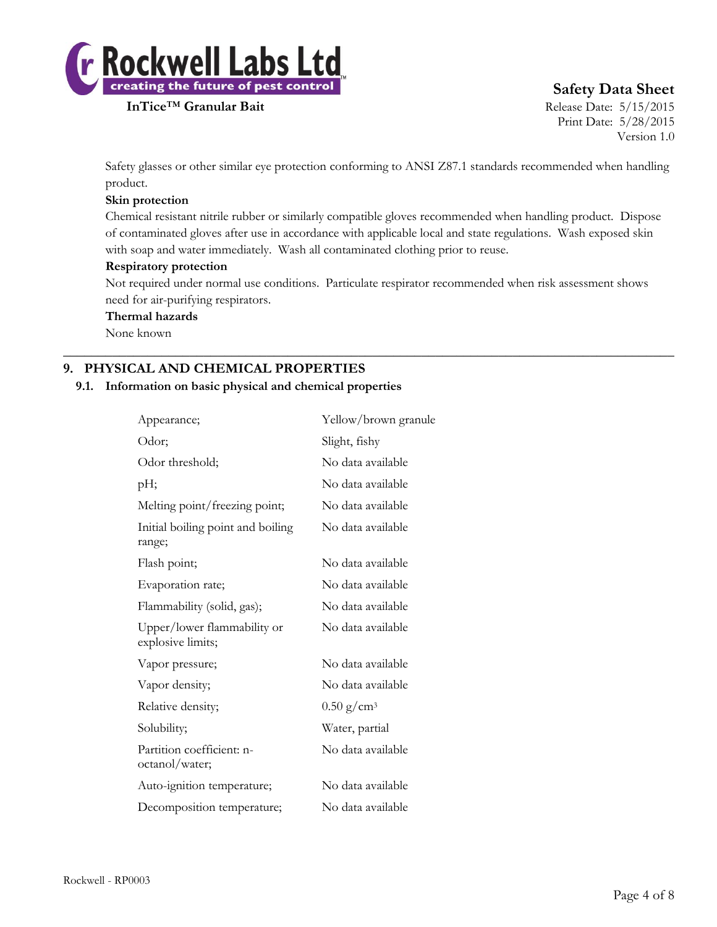

# **Safety Data Sheet**

Print Date: 5/28/2015 Version 1.0

Safety glasses or other similar eye protection conforming to ANSI Z87.1 standards recommended when handling product.

# **Skin protection**

Chemical resistant nitrile rubber or similarly compatible gloves recommended when handling product. Dispose of contaminated gloves after use in accordance with applicable local and state regulations. Wash exposed skin with soap and water immediately. Wash all contaminated clothing prior to reuse.

# **Respiratory protection**

Not required under normal use conditions. Particulate respirator recommended when risk assessment shows need for air-purifying respirators.

 $\_$  , and the set of the set of the set of the set of the set of the set of the set of the set of the set of the set of the set of the set of the set of the set of the set of the set of the set of the set of the set of th

#### **Thermal hazards**

None known

# **9. PHYSICAL AND CHEMICAL PROPERTIES**

#### **9.1. Information on basic physical and chemical properties**

| Yellow/brown granule     |
|--------------------------|
| Slight, fishy            |
| No data available        |
| No data available        |
| No data available        |
| No data available        |
| No data available        |
| No data available        |
| No data available        |
| No data available        |
| No data available        |
| No data available        |
| $0.50$ g/cm <sup>3</sup> |
| Water, partial           |
| No data available        |
| No data available        |
| No data available        |
|                          |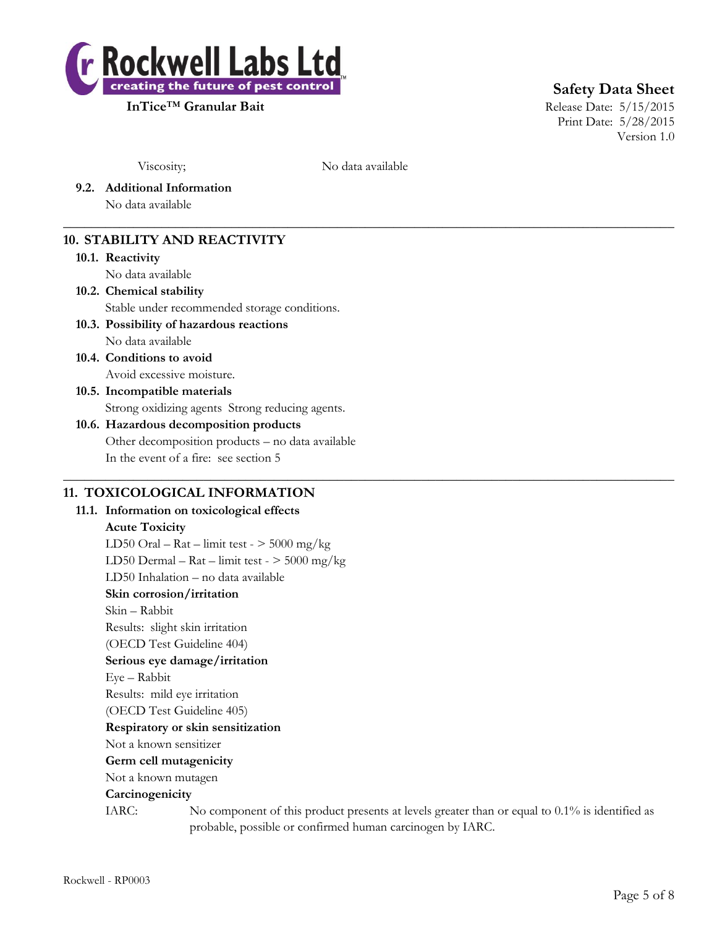

**Safety Data Sheet**

Print Date: 5/28/2015 Version 1.0

Viscosity; No data available

 $\_$  , and the set of the set of the set of the set of the set of the set of the set of the set of the set of the set of the set of the set of the set of the set of the set of the set of the set of the set of the set of th

 $\_$  , and the set of the set of the set of the set of the set of the set of the set of the set of the set of the set of the set of the set of the set of the set of the set of the set of the set of the set of the set of th

**9.2. Additional Information**

No data available

# **10. STABILITY AND REACTIVITY**

#### **10.1. Reactivity**

No data available

# **10.2. Chemical stability**

Stable under recommended storage conditions.

# **10.3. Possibility of hazardous reactions**

No data available **10.4. Conditions to avoid**

Avoid excessive moisture.

# **10.5. Incompatible materials** Strong oxidizing agents Strong reducing agents.

# **10.6. Hazardous decomposition products** Other decomposition products – no data available In the event of a fire: see section 5

# **11. TOXICOLOGICAL INFORMATION**

# **11.1. Information on toxicological effects Acute Toxicity** LD50 Oral – Rat – limit test -  $>$  5000 mg/kg LD50 Dermal –  $\text{Rat}$  – limit test -  $>$  5000 mg/kg LD50 Inhalation – no data available **Skin corrosion/irritation** Skin – Rabbit Results: slight skin irritation (OECD Test Guideline 404) **Serious eye damage/irritation** Eye – Rabbit Results: mild eye irritation (OECD Test Guideline 405) **Respiratory or skin sensitization** Not a known sensitizer **Germ cell mutagenicity** Not a known mutagen **Carcinogenicity** IARC: No component of this product presents at levels greater than or equal to 0.1% is identified as probable, possible or confirmed human carcinogen by IARC.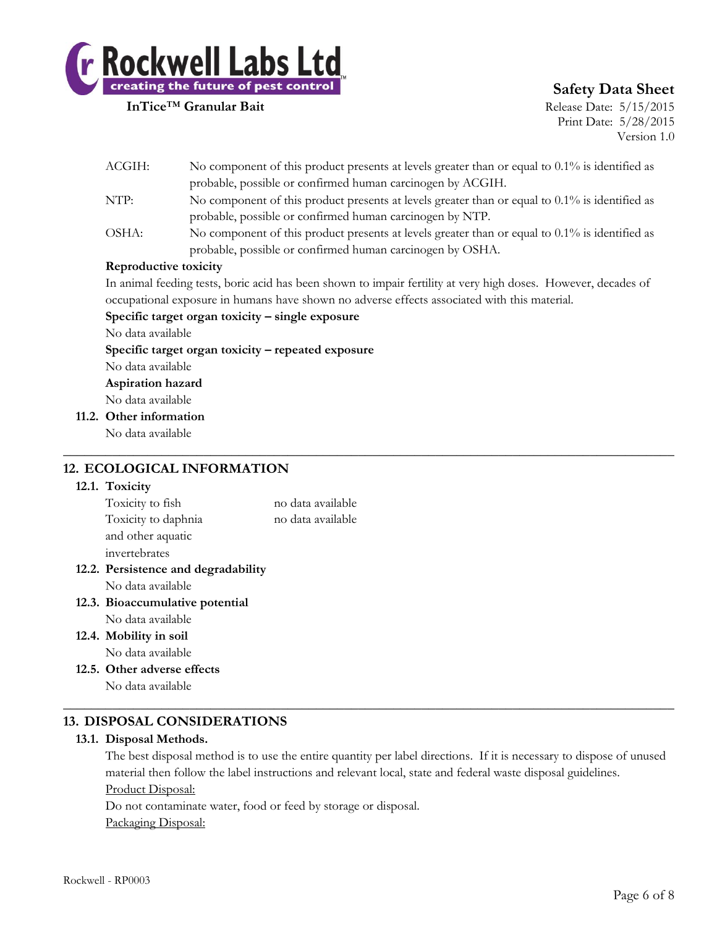

# **Safety Data Sheet**

Print Date: 5/28/2015 Version 1.0

| ACGIH: | No component of this product presents at levels greater than or equal to $0.1\%$ is identified as |
|--------|---------------------------------------------------------------------------------------------------|
|        | probable, possible or confirmed human carcinogen by ACGIH.                                        |
| NTP:   | No component of this product presents at levels greater than or equal to $0.1\%$ is identified as |
|        | probable, possible or confirmed human carcinogen by NTP.                                          |
| OSHA:  | No component of this product presents at levels greater than or equal to 0.1% is identified as    |
|        | probable, possible or confirmed human carcinogen by OSHA.                                         |

#### **Reproductive toxicity**

In animal feeding tests, boric acid has been shown to impair fertility at very high doses. However, decades of occupational exposure in humans have shown no adverse effects associated with this material.

 $\_$  , and the set of the set of the set of the set of the set of the set of the set of the set of the set of the set of the set of the set of the set of the set of the set of the set of the set of the set of the set of th

#### **Specific target organ toxicity – single exposure**

No data available

**Specific target organ toxicity – repeated exposure**

No data available

**Aspiration hazard** No data available

**11.2. Other information**

No data available

# **12. ECOLOGICAL INFORMATION**

#### **12.1. Toxicity**

| Toxicity to fish                    | no data available |
|-------------------------------------|-------------------|
| Toxicity to daphnia                 | no data available |
| and other aquatic                   |                   |
| invertebrates                       |                   |
| 12.2. Persistence and degradability |                   |

No data available

- **12.3. Bioaccumulative potential** No data available
- **12.4. Mobility in soil** No data available
- **12.5. Other adverse effects**

No data available

# **13. DISPOSAL CONSIDERATIONS**

# **13.1. Disposal Methods.**

The best disposal method is to use the entire quantity per label directions. If it is necessary to dispose of unused material then follow the label instructions and relevant local, state and federal waste disposal guidelines. Product Disposal:

 $\_$  , and the set of the set of the set of the set of the set of the set of the set of the set of the set of the set of the set of the set of the set of the set of the set of the set of the set of the set of the set of th

Do not contaminate water, food or feed by storage or disposal. Packaging Disposal: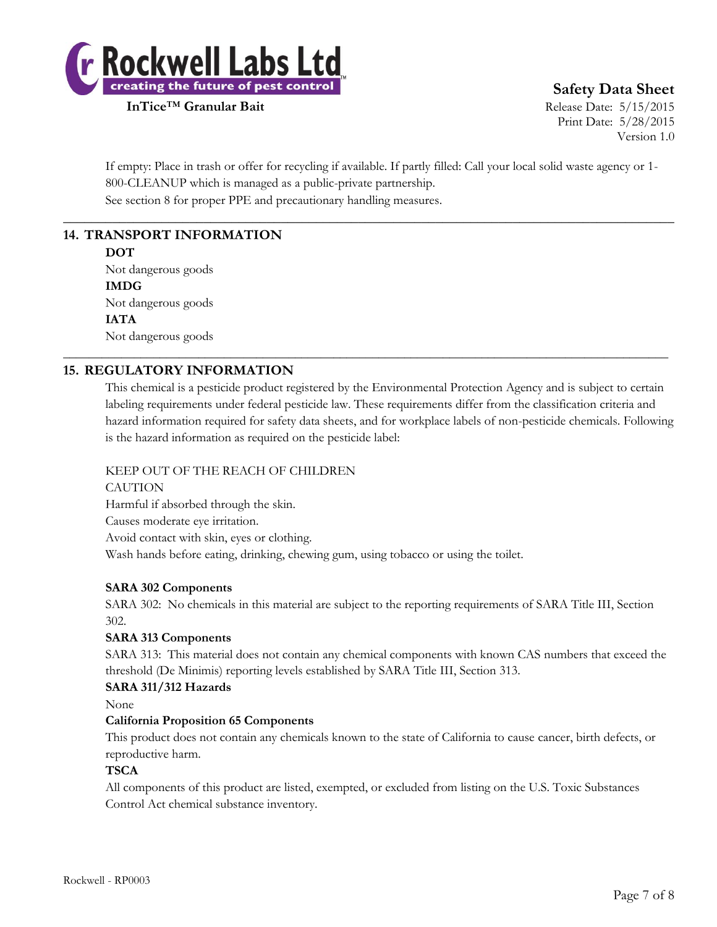

**Safety Data Sheet**

Print Date: 5/28/2015 Version 1.0

If empty: Place in trash or offer for recycling if available. If partly filled: Call your local solid waste agency or 1- 800-CLEANUP which is managed as a public-private partnership. See section 8 for proper PPE and precautionary handling measures.

 $\_$  , and the set of the set of the set of the set of the set of the set of the set of the set of the set of the set of the set of the set of the set of the set of the set of the set of the set of the set of the set of th

\_\_\_\_\_\_\_\_\_\_\_\_\_\_\_\_\_\_\_\_\_\_\_\_\_\_\_\_\_\_\_\_\_\_\_\_\_\_\_\_\_\_\_\_\_\_\_\_\_\_\_\_\_\_\_\_\_\_\_\_\_\_\_\_\_\_\_\_\_\_\_\_\_\_\_\_\_\_\_\_\_\_\_\_\_\_\_\_\_\_\_\_\_\_

# **14. TRANSPORT INFORMATION**

#### **DOT**

Not dangerous goods **IMDG** Not dangerous goods **IATA** Not dangerous goods

# **15. REGULATORY INFORMATION**

This chemical is a pesticide product registered by the Environmental Protection Agency and is subject to certain labeling requirements under federal pesticide law. These requirements differ from the classification criteria and hazard information required for safety data sheets, and for workplace labels of non-pesticide chemicals. Following is the hazard information as required on the pesticide label:

# KEEP OUT OF THE REACH OF CHILDREN

**CAUTION** Harmful if absorbed through the skin. Causes moderate eye irritation. Avoid contact with skin, eyes or clothing. Wash hands before eating, drinking, chewing gum, using tobacco or using the toilet.

# **SARA 302 Components**

SARA 302: No chemicals in this material are subject to the reporting requirements of SARA Title III, Section 302.

# **SARA 313 Components**

SARA 313: This material does not contain any chemical components with known CAS numbers that exceed the threshold (De Minimis) reporting levels established by SARA Title III, Section 313.

# **SARA 311/312 Hazards**

None

# **California Proposition 65 Components**

This product does not contain any chemicals known to the state of California to cause cancer, birth defects, or reproductive harm.

#### **TSCA**

All components of this product are listed, exempted, or excluded from listing on the U.S. Toxic Substances Control Act chemical substance inventory.